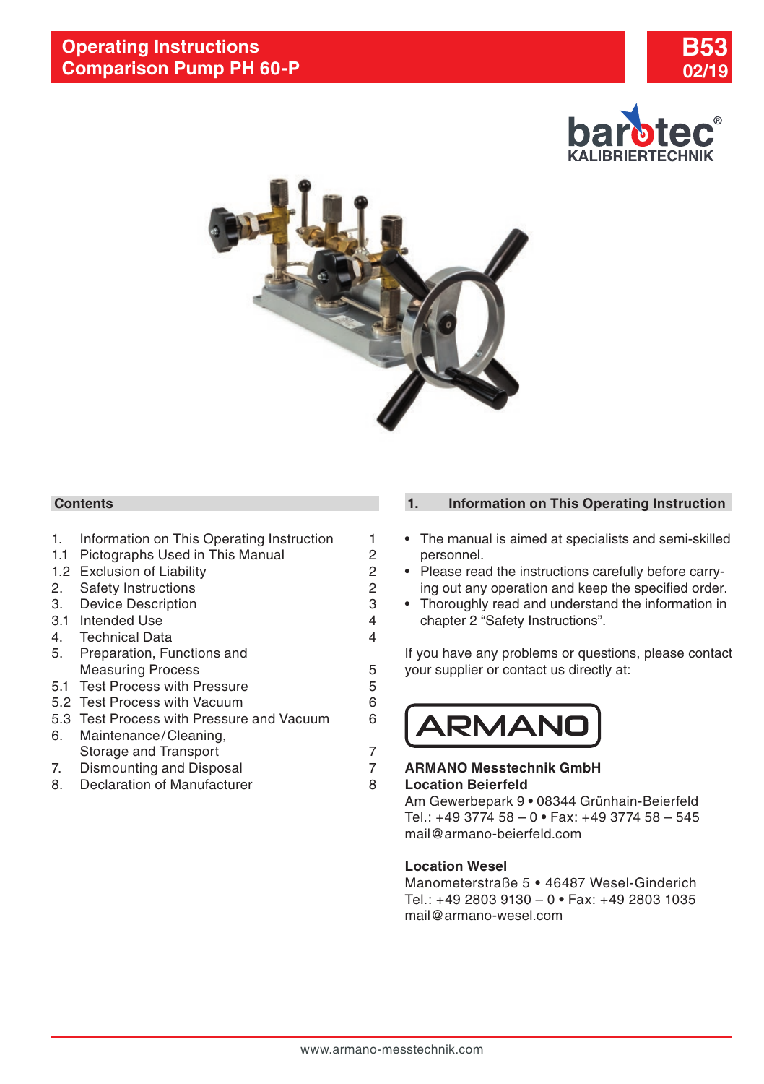





# **Contents**

- 1. Information on This Operating Instruction 1<br>1.1 Pictographs Used in This Manual 2
- [1.1 Pictographs Used in This Manual](#page-1-0) 2<br>1.2 Exclusion of Liability 2
- [1.2 Exclusion of Liability](#page-1-0) 12 2<br>2. Safety Instructions 12 2
- 2. [Safety Instructions](#page-1-0) 2
- 3. [Device Description](#page-2-0) 3.<br>3.1 Intended Use 3. 4
- [3.1 Intended Use](#page-3-0) 4<br>4 Technical Data 4 4
- 4. [Technical Data](#page-3-0) 4
- [5. Preparation, Functions and](#page-4-0)  [Measuring Process](#page-4-0) 5
- [5.1 Test Process with Pressure](#page-4-0) 6
- [5.2 Test Process with Vacuum](#page-5-0) 6
- [5.3 Test Process with Pressure and Vacuum](#page-5-0) 6 [6. Maintenance/Cleaning,](#page-6-0)
- [Storage and Transport](#page-6-0) 7<br>Dismounting and Disposal 7
- 7. [Dismounting and Disposal](#page-6-0) 7
- 8. [Declaration of Manufacturer](#page-7-0) 8

# **1. Information on This Operating Instruction**

- The manual is aimed at specialists and semi-skilled personnel.
- Please read the instructions carefully before carrying out any operation and keep the specified order.
- Thoroughly read and understand the information in chapter 2 "Safety Instructions".

If you have any problems or questions, please contact your supplier or contact us directly at:



## **ARMANO Messtechnik GmbH Location Beierfeld**

Am Gewerbepark 9 **•** 08344 Grünhain-Beierfeld Tel.: +49 3774 58 – 0 **•** Fax: +49 3774 58 – 545 mail@armano-beierfeld.com

# **Location Wesel**

Manometerstraße 5 **•** 46487 Wesel-Ginderich Tel.: +49 2803 9130 – 0 **•** Fax: +49 2803 1035 mail@armano-wesel.com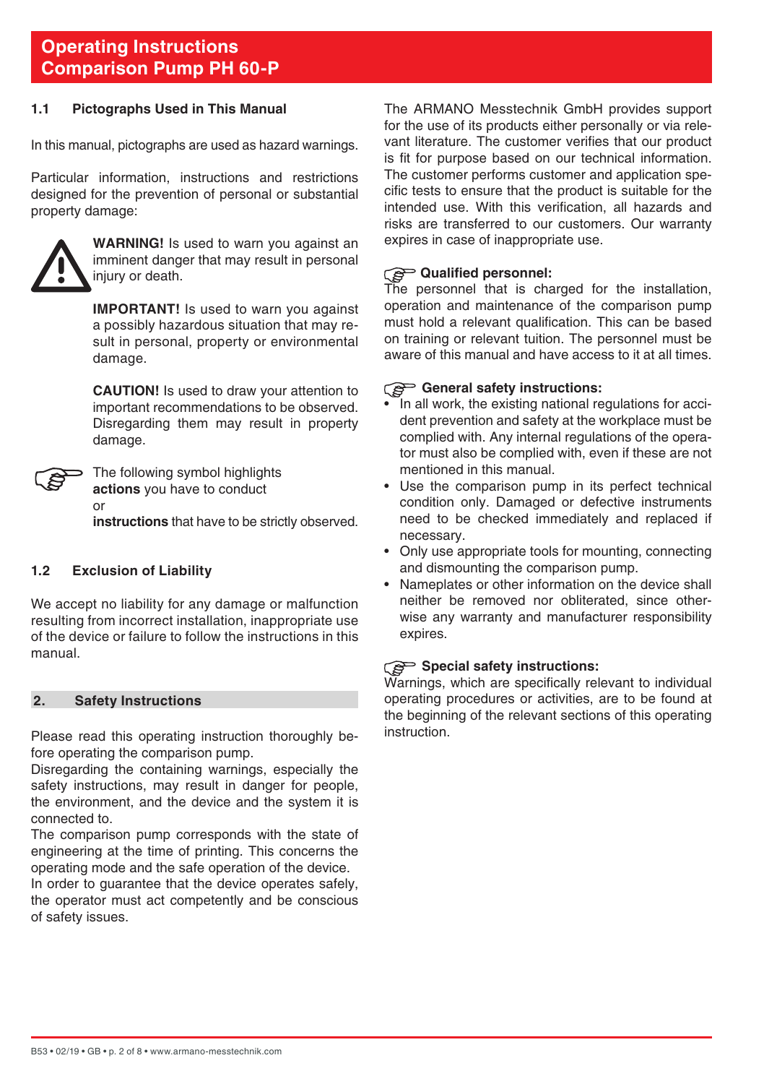## <span id="page-1-0"></span>**1.1 Pictographs Used in This Manual**

In this manual, pictographs are used as hazard warnings.

Particular information, instructions and restrictions designed for the prevention of personal or substantial property damage:



**WARNING!** Is used to warn you against an imminent danger that may result in personal injury or death.

**IMPORTANT!** Is used to warn you against a possibly hazardous situation that may result in personal, property or environmental damage.

 **CAUTION!** Is used to draw your attention to important recommendations to be observed. Disregarding them may result in property damage.



The following symbol highlights **actions** you have to conduct or **instructions** that have to be strictly observed.

**1.2 Exclusion of Liability**

We accept no liability for any damage or malfunction resulting from incorrect installation, inappropriate use of the device or failure to follow the instructions in this manual.

## **2. Safety Instructions**

Please read this operating instruction thoroughly before operating the comparison pump.

Disregarding the containing warnings, especially the safety instructions, may result in danger for people, the environment, and the device and the system it is connected to.

The comparison pump corresponds with the state of engineering at the time of printing. This concerns the operating mode and the safe operation of the device.

In order to guarantee that the device operates safely, the operator must act competently and be conscious of safety issues.

The ARMANO Messtechnik GmbH provides support for the use of its products either personally or via relevant literature. The customer verifies that our product is fit for purpose based on our technical information. The customer performs customer and application specific tests to ensure that the product is suitable for the intended use. With this verification, all hazards and risks are transferred to our customers. Our warranty expires in case of inappropriate use.

# **Qualified personnel:**

The personnel that is charged for the installation, operation and maintenance of the comparison pump must hold a relevant qualification. This can be based on training or relevant tuition. The personnel must be aware of this manual and have access to it at all times.

#### General safety instructions:

- In all work, the existing national regulations for accident prevention and safety at the workplace must be complied with. Any internal regulations of the operator must also be complied with, even if these are not mentioned in this manual.
- Use the comparison pump in its perfect technical condition only. Damaged or defective instruments need to be checked immediately and replaced if necessary.
- Only use appropriate tools for mounting, connecting and dismounting the comparison pump.
- Nameplates or other information on the device shall neither be removed nor obliterated, since otherwise any warranty and manufacturer responsibility expires.

## **Special safety instructions:**

Warnings, which are specifically relevant to individual operating procedures or activities, are to be found at the beginning of the relevant sections of this operating instruction.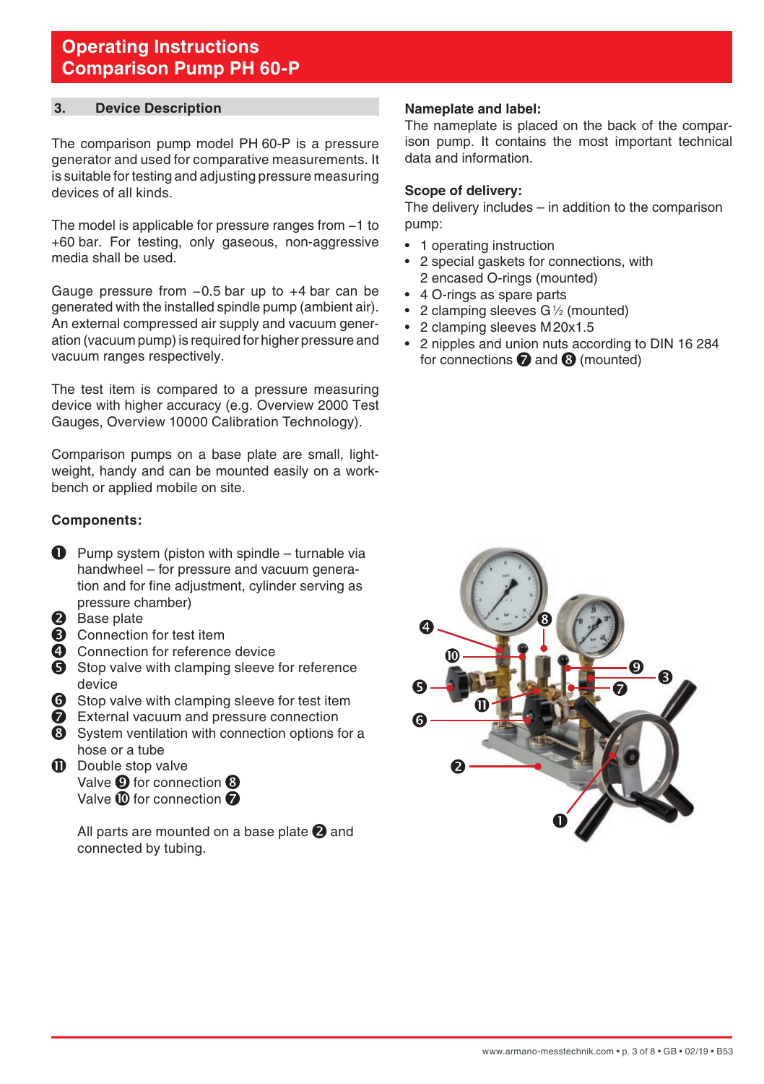## <span id="page-2-0"></span>**3. Device Description**

The comparison pump model PH 60-P is a pressure generator and used for comparative measurements. It is suitable for testing and adjusting pressure measuring devices of all kinds.

The model is applicable for pressure ranges from −1 to +60 bar. For testing, only gaseous, non-aggressive media shall be used.

Gauge pressure from −0.5 bar up to +4 bar can be generated with the installed spindle pump (ambient air). An external compressed air supply and vacuum generation (vacuum pump) is required for higher pressure and vacuum ranges respectively.

The test item is compared to a pressure measuring device with higher accuracy (e.g. Overview 2000 Test Gauges, Overview 10000 Calibration Technology).

Comparison pumps on a base plate are small, lightweight, handy and can be mounted easily on a workbench or applied mobile on site.

#### **Components:**

- $\bullet$  Pump system (piston with spindle turnable via handwheel – for pressure and vacuum generation and for fine adjustment, cylinder serving as pressure chamber)
- **2** Base plate
- **6** Connection for test item
- **4** Connection for reference device
- Stop valve with clamping sleeve for reference device
- **6** Stop valve with clamping sleeve for test item
- External vacuum and pressure connection
- System ventilation with connection options for a hose or a tube
- **D** Double stop valve Valve <sup>O</sup> for connection <sup>O</sup> Valve  $\mathbf{\Omega}$  for connection  $\boldsymbol{\Omega}$

All parts are mounted on a base plate  $\bigcirc$  and connected by tubing.

#### **Nameplate and label:**

The nameplate is placed on the back of the comparison pump. It contains the most important technical data and information.

### **Scope of delivery:**

The delivery includes – in addition to the comparison pump:

- 1 operating instruction
- 2 special gaskets for connections, with 2 encased O-rings (mounted)
- 4 O-rings as spare parts
- 2 clamping sleeves G1 ⁄2 (mounted)
- 2 clamping sleeves M20x1.5
- 2 nipples and union nuts according to DIN 16 284 for connections  $\bigcirc$  and  $\bigcirc$  (mounted)

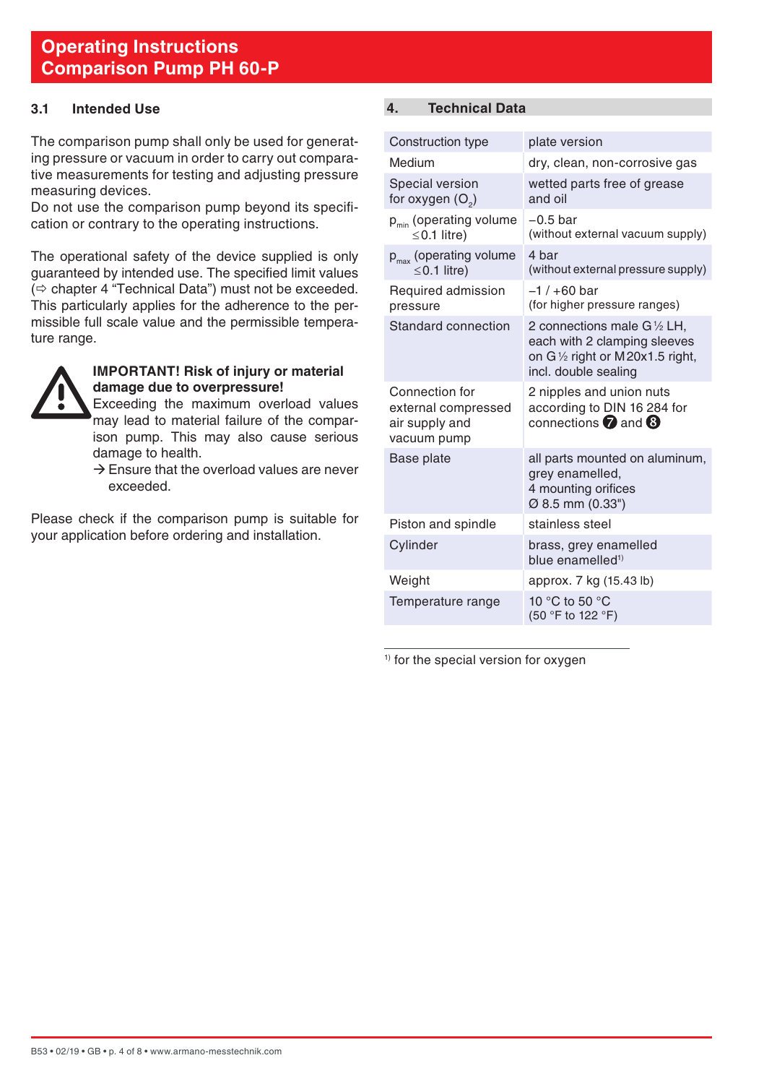# <span id="page-3-0"></span>**3.1 Intended Use**

The comparison pump shall only be used for generating pressure or vacuum in order to carry out comparative measurements for testing and adjusting pressure measuring devices.

Do not use the comparison pump beyond its specification or contrary to the operating instructions.

The operational safety of the device supplied is only guaranteed by intended use. The specified limit values  $\Rightarrow$  chapter 4 "Technical Data") must not be exceeded. This particularly applies for the adherence to the permissible full scale value and the permissible temperature range.



#### **IMPORTANT! Risk of injury or material damage due to overpressure!**

 Exceeding the maximum overload values may lead to material failure of the comparison pump. This may also cause serious damage to health.

 $\rightarrow$  Ensure that the overload values are never exceeded.

Please check if the comparison pump is suitable for your application before ordering and installation.

# **4. Technical Data**

| Construction type                                                      | plate version                                                                                                                    |
|------------------------------------------------------------------------|----------------------------------------------------------------------------------------------------------------------------------|
| Medium                                                                 | dry, clean, non-corrosive gas                                                                                                    |
| Special version<br>for oxygen $(O_2)$                                  | wetted parts free of grease<br>and oil                                                                                           |
| p <sub>min</sub> (operating volume<br>$\leq$ 0.1 litre)                | $-0.5$ bar<br>(without external vacuum supply)                                                                                   |
| $p_{\text{max}}$ (operating volume<br>$\leq$ 0.1 litre)                | 4 bar<br>(without external pressure supply)                                                                                      |
| Required admission<br>pressure                                         | $-1/+60$ bar<br>(for higher pressure ranges)                                                                                     |
| Standard connection                                                    | 2 connections male G1/2 LH,<br>each with 2 clamping sleeves<br>on $G\frac{1}{2}$ right or M20x1.5 right,<br>incl. double sealing |
| Connection for<br>external compressed<br>air supply and<br>vacuum pump | 2 nipples and union nuts<br>according to DIN 16 284 for<br>connections $\bullet$ and $\bullet$                                   |
| Base plate                                                             | all parts mounted on aluminum,<br>grey enamelled,<br>4 mounting orifices<br>Ø 8.5 mm (0.33")                                     |
| Piston and spindle                                                     | stainless steel                                                                                                                  |
| Cylinder                                                               | brass, grey enamelled<br>blue enamelled <sup>1)</sup>                                                                            |
| Weight                                                                 | approx. 7 kg (15.43 lb)                                                                                                          |
| Temperature range                                                      | 10 °C to 50 °C<br>(50 °F to 122 °F)                                                                                              |

<sup>1)</sup> for the special version for oxygen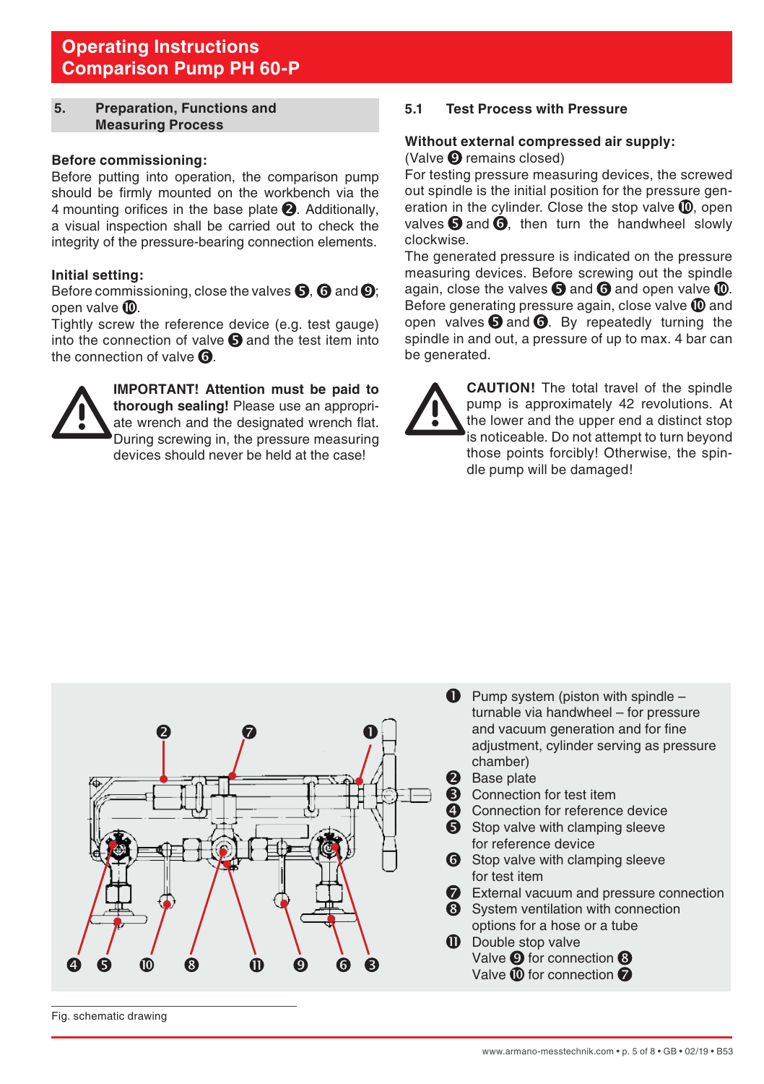## <span id="page-4-0"></span>**5. Preparation, Functions and Measuring Process**

#### **Before commissioning:**

Before putting into operation, the comparison pump should be firmly mounted on the workbench via the 4 mounting orifices in the base plate  $\bigcirc$ . Additionally, a visual inspection shall be carried out to check the integrity of the pressure-bearing connection elements.

#### **Initial setting:**

Before commissioning, close the valves  $\mathbf{\Theta}$ ,  $\mathbf{\Theta}$  and  $\mathbf{\Theta}$ ; open valve **.** 

Tightly screw the reference device (e.g. test gauge) into the connection of valve  $\blacksquare$  and the test item into the connection of valve  $\Omega$ 



**IMPORTANT! Attention must be paid to thorough sealing!** Please use an appropriate wrench and the designated wrench flat. During screwing in, the pressure measuring devices should never be held at the case!

## **5.1 Test Process with Pressure**

#### **Without external compressed air supply:** (Valve  $\boldsymbol{\Theta}$  remains closed)

For testing pressure measuring devices, the screwed out spindle is the initial position for the pressure generation in the cylinder. Close the stop valve  $\mathbf{\mathbb{O}}$ , open valves  $\Theta$  and  $\dot{\Theta}$ , then turn the handwheel slowly clockwise.

The generated pressure is indicated on the pressure measuring devices. Before screwing out the spindle again, close the valves  $\bigcirc$  and  $\bigcirc$  and open valve  $\bigcirc$ . Before generating pressure again, close valve  $\mathbf{\mathbb{O}}$  and open valves  $\bigcirc$  and  $\bigcirc$ . By repeatedly turning the spindle in and out, a pressure of up to max. 4 bar can be generated.



**CAUTION!** The total travel of the spindle pump is approximately 42 revolutions. At the lower and the upper end a distinct stop is noticeable. Do not attempt to turn beyond those points forcibly! Otherwise, the spindle pump will be damaged!



Fig. schematic drawing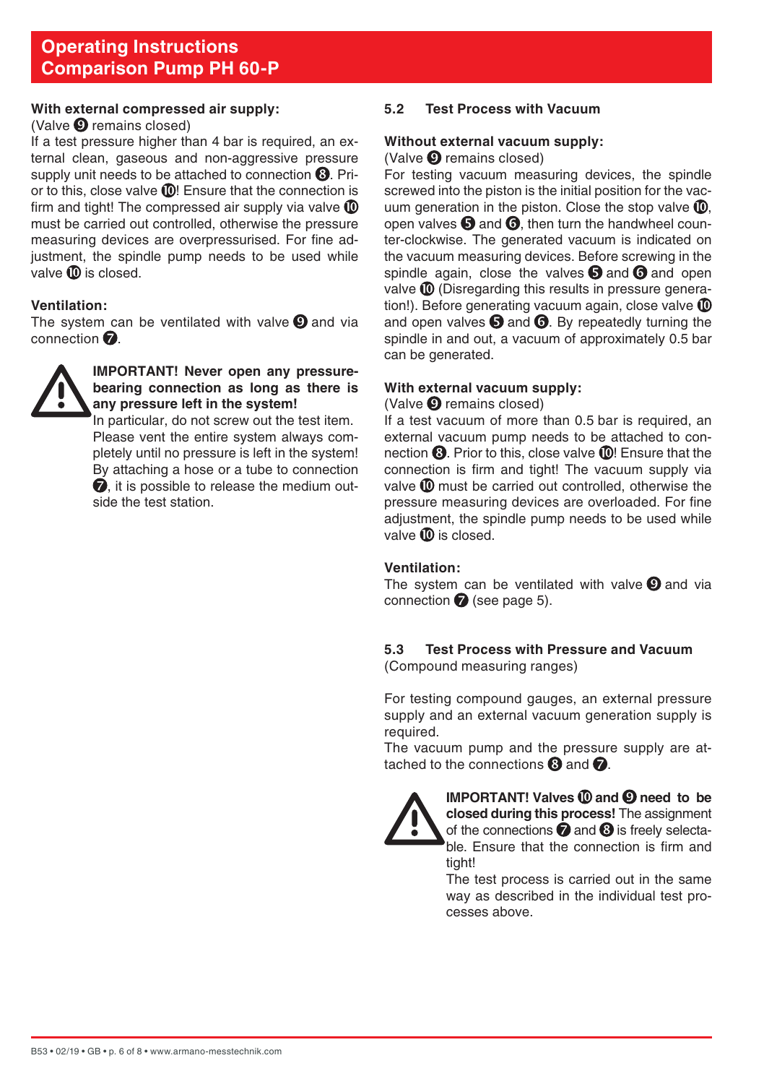#### <span id="page-5-0"></span>**With external compressed air supply:**

### $(Value \nQ remains closed)$

If a test pressure higher than 4 bar is required, an external clean, gaseous and non-aggressive pressure supply unit needs to be attached to connection  $\mathbf{\Theta}$ . Prior to this, close valve **10!** Ensure that the connection is firm and tight! The compressed air supply via valve  $\mathbf 1$ must be carried out controlled, otherwise the pressure measuring devices are overpressurised. For fine adjustment, the spindle pump needs to be used while valve  $\mathbf{\Omega}$  is closed.

### **Ventilation:**

The system can be ventilated with valve  $\boldsymbol{Q}$  and via connection  $\bullet$ .



## **IMPORTANT! Never open any pressurebearing connection as long as there is any pressure left in the system!**

In particular, do not screw out the test item. Please vent the entire system always completely until no pressure is left in the system! By attaching a hose or a tube to connection  $\bullet$  it is possible to release the medium outside the test station.

## **5.2 Test Process with Vacuum**

#### **Without external vacuum supply:**

#### (Valve  $\boldsymbol{\Theta}$  remains closed)

For testing vacuum measuring devices, the spindle screwed into the piston is the initial position for the vacuum generation in the piston. Close the stop valve  $\mathbf{I}$ . open valves  $\bigcirc$  and  $\bigcirc$ , then turn the handwheel counter-clockwise. The generated vacuum is indicated on the vacuum measuring devices. Before screwing in the spindle again, close the valves  $\boldsymbol{\Theta}$  and  $\boldsymbol{\Theta}$  and open valve  $\mathbf 0$  (Disregarding this results in pressure generation!). Before generating vacuum again, close valve  $\mathbf 1$ and open valves  $\bigcirc$  and  $\bigcirc$ . By repeatedly turning the spindle in and out, a vacuum of approximately 0.5 bar can be generated.

### **With external vacuum supply:**

 $(Value \nQ remains closed)$ 

If a test vacuum of more than 0.5 bar is required, an external vacuum pump needs to be attached to connection  $\Theta$ . Prior to this, close valve  $\mathbb O$ ! Ensure that the connection is firm and tight! The vacuum supply via valve  $\mathbf{\Omega}$  must be carried out controlled, otherwise the pressure measuring devices are overloaded. For fine adjustment, the spindle pump needs to be used while valve  $\mathbf{\Omega}$  is closed.

#### **Ventilation:**

The system can be ventilated with valve  $\boldsymbol{Q}$  and via connection  $\bigcirc$  (see page 5).

#### **5.3 Test Process with Pressure and Vacuum** (Compound measuring ranges)

For testing compound gauges, an external pressure supply and an external vacuum generation supply is required.

The vacuum pump and the pressure supply are attached to the connections  $\mathbf \Omega$  and  $\mathbf \Omega$ .



**IMPORTANT!** Valves  $\textcircled{1}$  and  $\textcircled{2}$  need to be **closed during this process!** The assignment of the connections  $\bullet$  and  $\bullet$  is freely selectable. Ensure that the connection is firm and tight!

 The test process is carried out in the same way as described in the individual test processes above.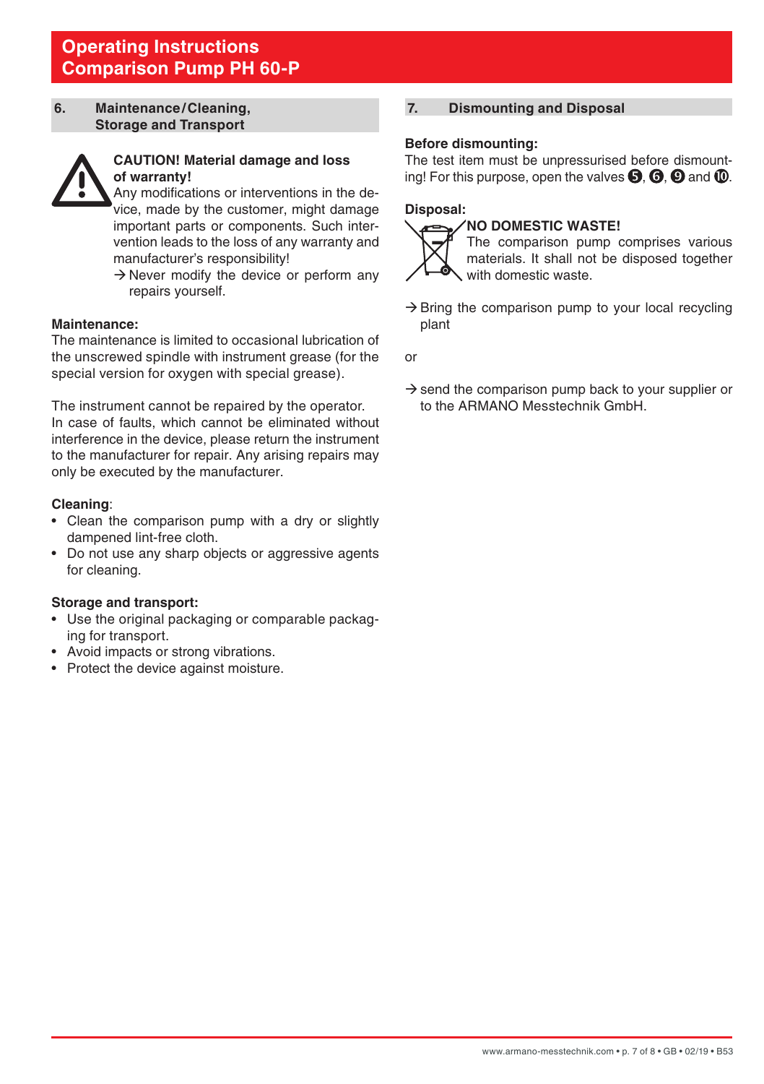#### <span id="page-6-0"></span>**6. Maintenance/Cleaning, Storage and Transport**



# **CAUTION! Material damage and loss of warranty!**

 Any modifications or interventions in the device, made by the customer, might damage important parts or components. Such intervention leads to the loss of any warranty and manufacturer's responsibility!

 $\rightarrow$  Never modify the device or perform any repairs yourself.

#### **Maintenance:**

The maintenance is limited to occasional lubrication of the unscrewed spindle with instrument grease (for the special version for oxygen with special grease).

The instrument cannot be repaired by the operator. In case of faults, which cannot be eliminated without interference in the device, please return the instrument to the manufacturer for repair. Any arising repairs may only be executed by the manufacturer.

### **Cleaning**:

- Clean the comparison pump with a dry or slightly dampened lint-free cloth.
- Do not use any sharp objects or aggressive agents for cleaning.

#### **Storage and transport:**

- Use the original packaging or comparable packaging for transport.
- Avoid impacts or strong vibrations.
- Protect the device against moisture.

# **7. Dismounting and Disposal**

### **Before dismounting:**

The test item must be unpressurised before dismounting! For this purpose, open the valves  $\mathbf{\Theta}$ .  $\mathbf{\Theta}$  and  $\mathbf{\Phi}$ .

#### **Disposal: NO DOMESTIC WASTE!**



 The comparison pump comprises various materials. It shall not be disposed together with domestic waste.

 $\rightarrow$  Bring the comparison pump to your local recycling plant

or

 $\rightarrow$  send the comparison pump back to your supplier or to the ARMANO Messtechnik GmbH.